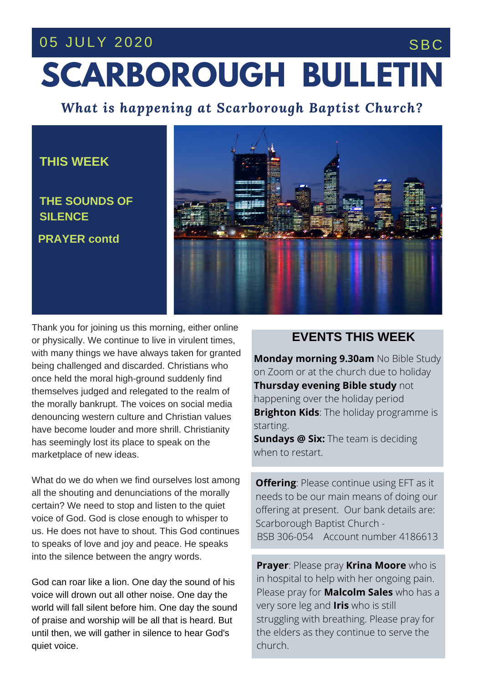### 05 JULY 2020 SBC

# **SCARBOROUGH BULLETIN**

*What is happening at Scarborough Baptist Church?*

#### **THIS WEEK**

**PRAYER contd THE SOUNDS OF SILENCE**



**THE SERVICE THIS** have become louder and more shrill. Christianity has seemingly lost its place to speak on the Thank you for joining us this morning, either online or physically. We continue to live in virulent times, with many things we have always taken for granted being challenged and discarded. Christians who once held the moral high-ground suddenly find themselves judged and relegated to the realm of the morally bankrupt. The voices on social media denouncing western culture and Christian values marketplace of new ideas.

What do we do when we find ourselves lost among all the shouting and denunciations of the morally certain? We need to stop and listen to the quiet voice of God. God is close enough to whisper to us. He does not have to shout. This God continues to speaks of love and joy and peace. He speaks into the silence between the angry words.

God can roar like a lion. One day the sound of his voice will drown out all other noise. One day the world will fall silent before him. One day the sound of praise and worship will be all that is heard. But until then, we will gather in silence to hear God's quiet voice.

#### **EVENTS THIS WEEK**

**Monday morning 9.30am** No Bible Study on Zoom or at the church due to holiday **Thursday evening Bible study** not happening over the holiday period **Brighton Kids**: The holiday programme is starting.

**Sundays @ Six:** The team is deciding when to restart.

**Offering**: Please continue using EFT as it needs to be our main means of doing our offering at present. Our bank details are: Scarborough Baptist Church - BSB 306-054 Account number 4186613

**Prayer**: Please pray **Krina Moore** who is in hospital to help with her ongoing pain. Please pray for **Malcolm Sales** who has a very sore leg and **Iris** who is still struggling with breathing. Please pray for the elders as they continue to serve the church.